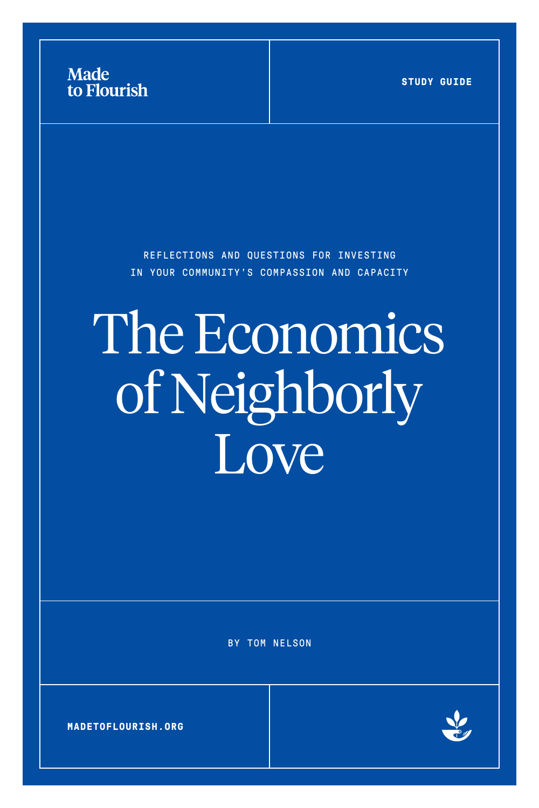



BY TOM NELSON

# The Economics of Neighborly Love

REFLECTIONS AND QUESTIONS FOR INVESTING IN YOUR COMMUNITY'S COMPASSION AND CAPACITY



**STUDY GUIDE**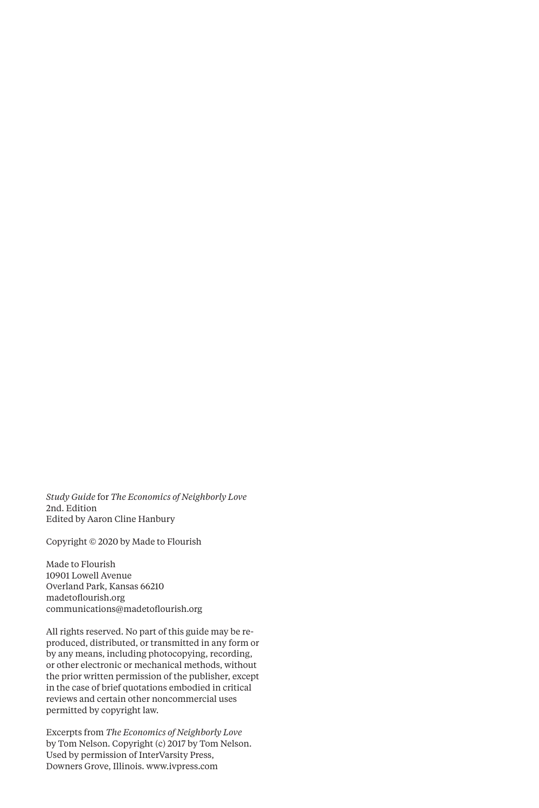*Study Guide* for *The Economics of Neighborly Love*  2nd. Edition Edited by Aaron Cline Hanbury

Copyright © 2020 by Made to Flourish

Made to Flourish 10901 Lowell Avenue Overland Park, Kansas 66210 madetoflourish.org communications@madetoflourish.org

All rights reserved. No part of this guide may be reproduced, distributed, or transmitted in any form or by any means, including photocopying, recording, or other electronic or mechanical methods, without the prior written permission of the publisher, except in the case of brief quotations embodied in critical reviews and certain other noncommercial uses permitted by copyright law.

Excerpts from *The Economics of Neighborly Love* by Tom Nelson. Copyright (c) 2017 by Tom Nelson. Used by permission of InterVarsity Press, Downers Grove, Illinois. www.ivpress.com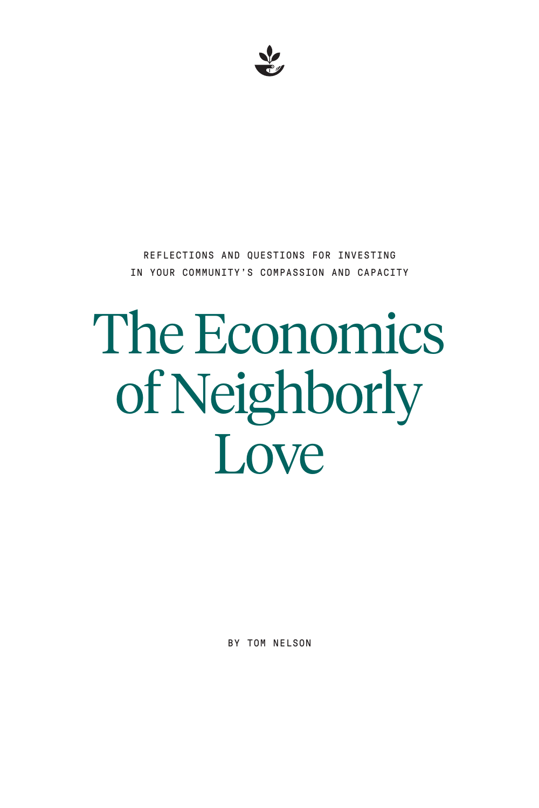BY TOM NELSON

# The Economics of Neighborly Love

REFLECTIONS AND QUESTIONS FOR INVESTING IN YOUR COMMUNITY'S COMPASSION AND CAPACITY

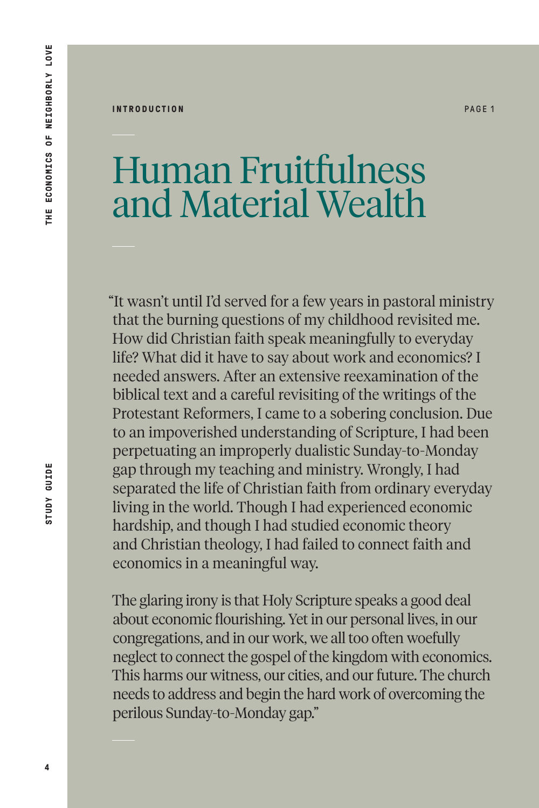#### **INTRODUCTION** PAGE 1

#### Human Fruitfulness and Material Wealth

"It wasn't until I'd served for a few years in pastoral ministry that the burning questions of my childhood revisited me. How did Christian faith speak meaningfully to everyday life? What did it have to say about work and economics? I needed answers. After an extensive reexamination of the biblical text and a careful revisiting of the writings of the Protestant Reformers, I came to a sobering conclusion. Due to an impoverished understanding of Scripture, I had been perpetuating an improperly dualistic Sunday-to-Monday gap through my teaching and ministry. Wrongly, I had separated the life of Christian faith from ordinary everyday living in the world. Though I had experienced economic hardship, and though I had studied economic theory and Christian theology, I had failed to connect faith and economics in a meaningful way.

The glaring irony is that Holy Scripture speaks a good deal about economic flourishing. Yet in our personal lives, in our congregations, and in our work, we all too often woefully neglect to connect the gospel of the kingdom with economics. This harms our witness, our cities, and our future. The church needs to address and begin the hard work of overcoming the perilous Sunday-to-Monday gap."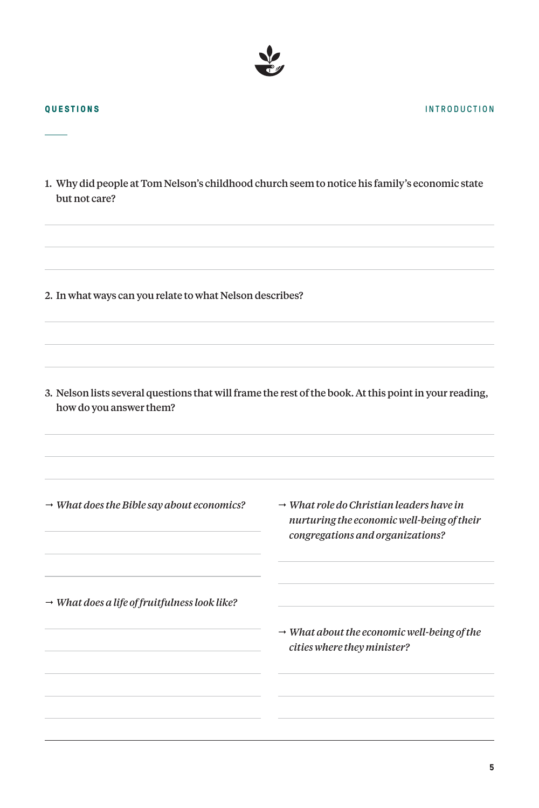1. Why did people at Tom Nelson's childhood church seem to notice his family's economic state but not care?

2. In what ways can you relate to what Nelson describes?

3. Nelson lists several questions that will frame the rest of the book. At this point in your reading, how do you answer them?

*What does the Bible say about economics?*

 *What role do Christian leaders have in nurturing the economic well-being of their congregations and organizations?*

*What does a life of fruitfulness look like?*

 *What about the economic well-being of the cities where they minister?*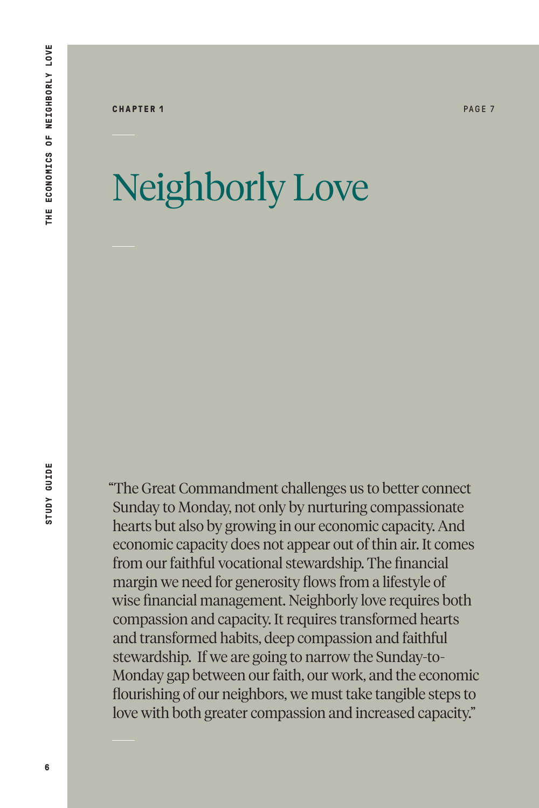# Neighborly Love

"The Great Commandment challenges us to better connect Sunday to Monday, not only by nurturing compassionate hearts but also by growing in our economic capacity. And economic capacity does not appear out of thin air. It comes from our faithful vocational stewardship. The financial margin we need for generosity flows from a lifestyle of wise financial management. Neighborly love requires both compassion and capacity. It requires transformed hearts and transformed habits, deep compassion and faithful stewardship. If we are going to narrow the Sunday-to-Monday gap between our faith, our work, and the economic flourishing of our neighbors, we must take tangible steps to love with both greater compassion and increased capacity."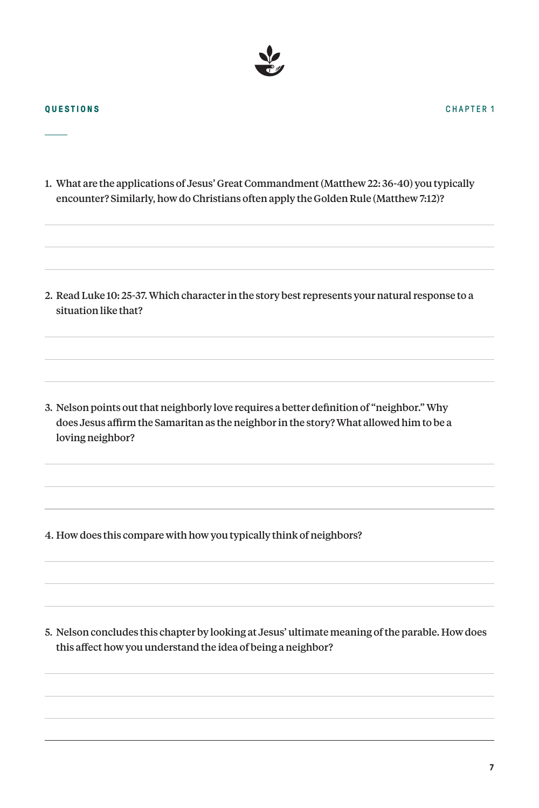1. What are the applications of Jesus' Great Commandment (Matthew 22: 36-40) you typically encounter? Similarly, how do Christians often apply the Golden Rule (Matthew 7:12)?

2. Read Luke 10: 25-37. Which character in the story best represents your natural response to a situation like that?

3. Nelson points out that neighborly love requires a better definition of "neighbor." Why does Jesus affirm the Samaritan as the neighbor in the story? What allowed him to be a loving neighbor?

4. How does this compare with how you typically think of neighbors?

5. Nelson concludes this chapter by looking at Jesus' ultimate meaning of the parable. How does this affect how you understand the idea of being a neighbor?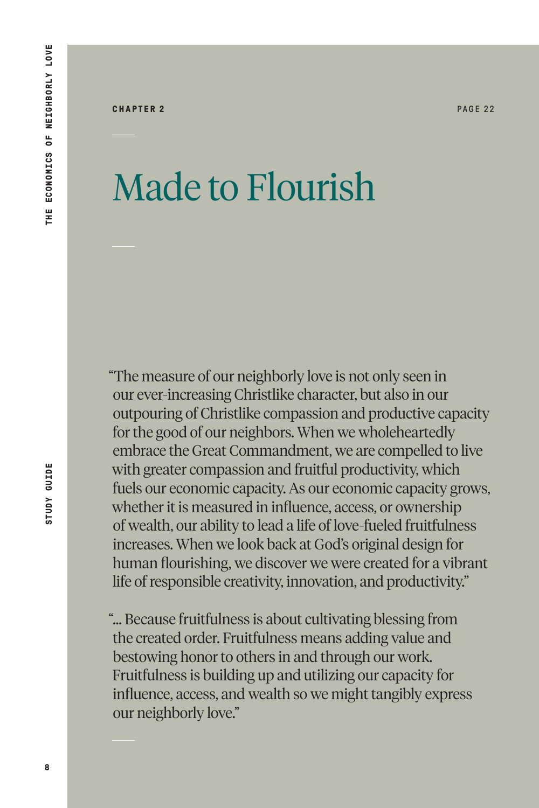### Made to Flourish

"The measure of our neighborly love is not only seen in our ever-increasing Christlike character, but also in our outpouring of Christlike compassion and productive capacity for the good of our neighbors. When we wholeheartedly embrace the Great Commandment, we are compelled to live with greater compassion and fruitful productivity, which fuels our economic capacity. As our economic capacity grows, whether it is measured in influence, access, or ownership of wealth, our ability to lead a life of love-fueled fruitfulness increases. When we look back at God's original design for human flourishing, we discover we were created for a vibrant life of responsible creativity, innovation, and productivity."

"… Because fruitfulness is about cultivating blessing from the created order. Fruitfulness means adding value and bestowing honor to others in and through our work. Fruitfulness is building up and utilizing our capacity for influence, access, and wealth so we might tangibly express our neighborly love."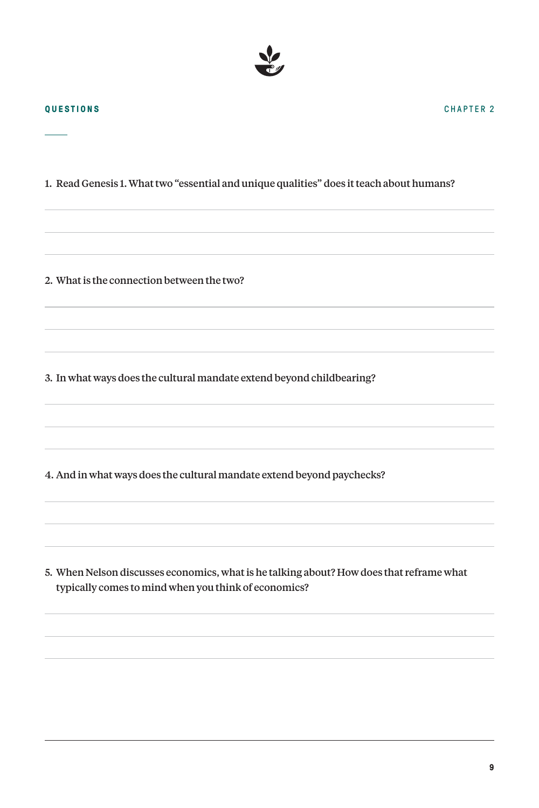1. Read Genesis 1. What two "essential and unique qualities" does it teach about humans?

2. What is the connection between the two?

3. In what ways does the cultural mandate extend beyond childbearing?

4. And in what ways does the cultural mandate extend beyond paychecks?

5. When Nelson discusses economics, what is he talking about? How does that reframe what typically comes to mind when you think of economics?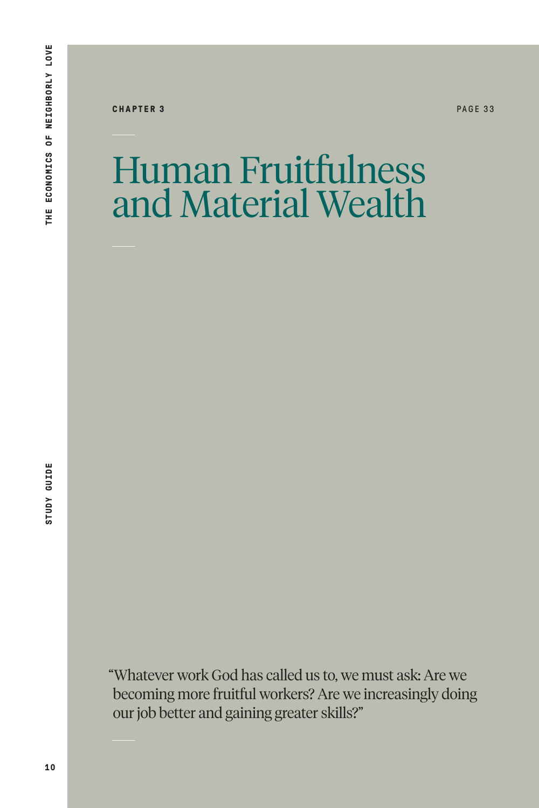**CHAPTER 3** PAGE 33

#### Human Fruitfulness and Material Wealth

"Whatever work God has called us to, we must ask: Are we becoming more fruitful workers? Are we increasingly doing our job better and gaining greater skills?"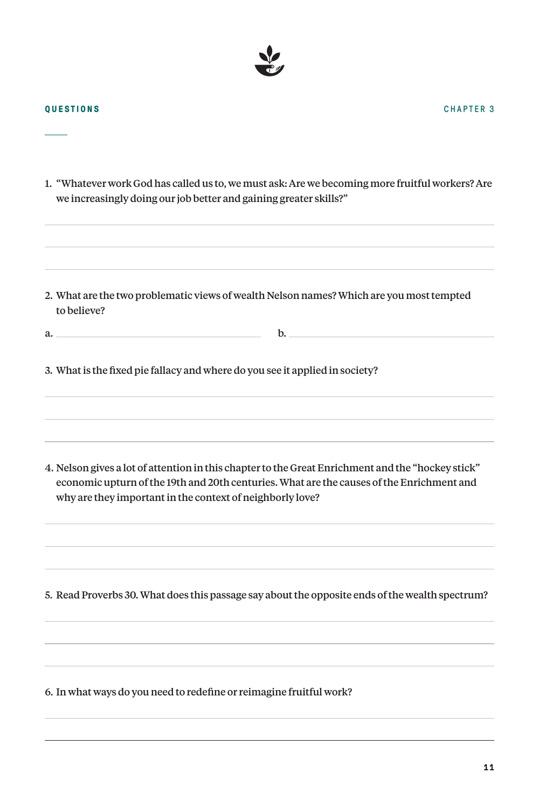**11**

#### **QUESTIONS**

1. "Whatever work God has called us to, we must ask: Are we becoming more fruitful workers? Are we increasingly doing our job better and gaining greater skills?"

- 2. What are the two problematic views of wealth Nelson names? Which are you most tempted to believe?
- 3. What is the fixed pie fallacy and where do you see it applied in society?

a. b.

4. Nelson gives a lot of attention in this chapter to the Great Enrichment and the "hockey stick" economic upturn of the 19th and 20th centuries. What are the causes of the Enrichment and why are they important in the context of neighborly love?

5. Read Proverbs 30. What does this passage say about the opposite ends of the wealth spectrum?

6. In what ways do you need to redefine or reimagine fruitful work?

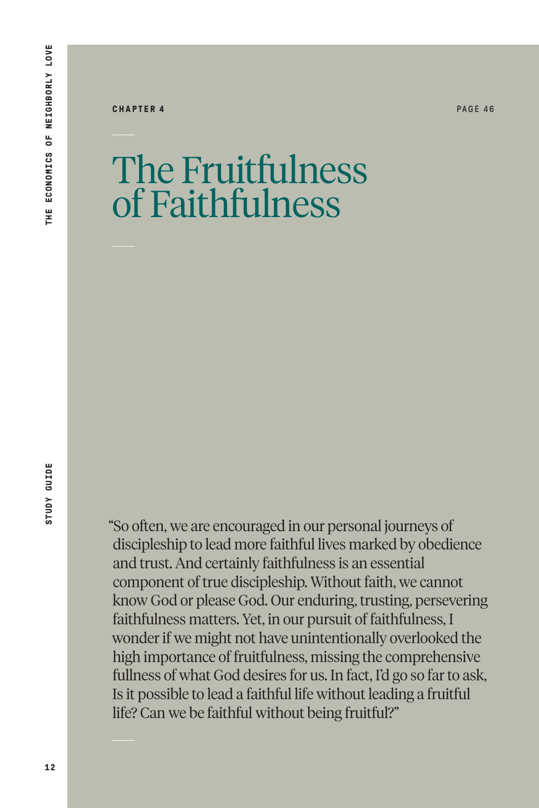**CHAPTER 4 PAGE 46** 

The Fruitfulness of Faithfulness

"So often, we are encouraged in our personal journeys of discipleship to lead more faithful lives marked by obedience and trust. And certainly faithfulness is an essential component of true discipleship. Without faith, we cannot know God or please God. Our enduring, trusting, persevering faithfulness matters. Yet, in our pursuit of faithfulness, I wonder if we might not have unintentionally overlooked the high importance of fruitfulness, missing the comprehensive fullness of what God desires for us. In fact, I'd go so far to ask, Is it possible to lead a faithful life without leading a fruitful life? Can we be faithful without being fruitful?"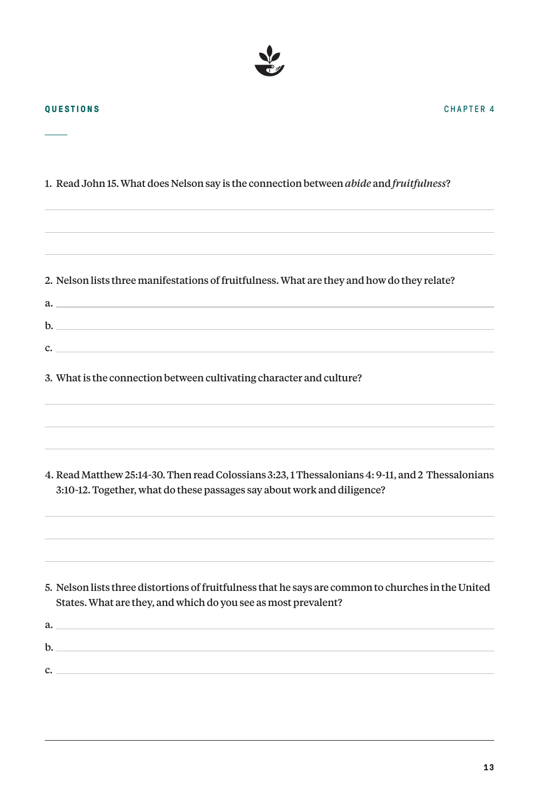

**QUESTIONS**

| 1. Read John 15. What does Nelson say is the connection between abide and fruitfulness?                                                                                      |
|------------------------------------------------------------------------------------------------------------------------------------------------------------------------------|
|                                                                                                                                                                              |
|                                                                                                                                                                              |
| 2. Nelson lists three manifestations of fruitfulness. What are they and how do they relate?                                                                                  |
|                                                                                                                                                                              |
|                                                                                                                                                                              |
| $\mathbf{c}$ .                                                                                                                                                               |
| 3. What is the connection between cultivating character and culture?                                                                                                         |
|                                                                                                                                                                              |
|                                                                                                                                                                              |
| 4. Read Matthew 25:14-30. Then read Colossians 3:23, 1 Thessalonians 4: 9-11, and 2 Thessalonians<br>3:10-12. Together, what do these passages say about work and diligence? |
|                                                                                                                                                                              |
| 5. Nelson lists three distortions of fruitfulness that he says are common to churches in the United<br>States. What are they, and which do you see as most prevalent?        |
| a.                                                                                                                                                                           |
| $\mathbf{b}$ .                                                                                                                                                               |
| $\mathbf{c}$ .                                                                                                                                                               |

CHAPTER 4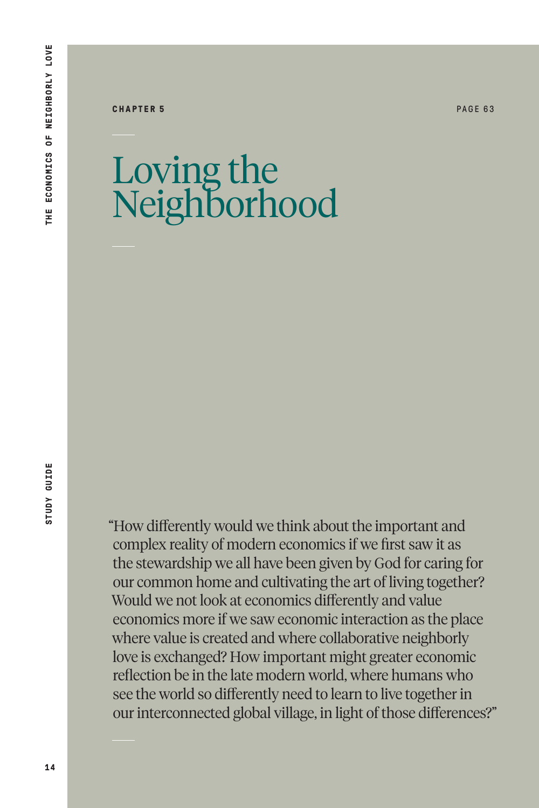#### **CHAPTER 5** PAGE 63

### Loving the Neighborhood

**STUDY GUIDE** 

"How differently would we think about the important and complex reality of modern economics if we first saw it as the stewardship we all have been given by God for caring for our common home and cultivating the art of living together? Would we not look at economics differently and value economics more if we saw economic interaction as the place where value is created and where collaborative neighborly love is exchanged? How important might greater economic reflection be in the late modern world, where humans who see the world so differently need to learn to live together in our interconnected global village, in light of those differences?"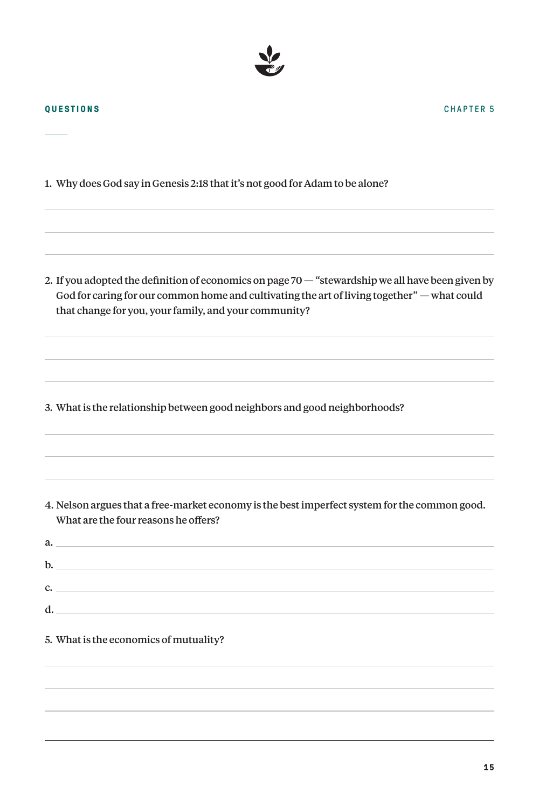

1. Why does God say in Genesis 2:18 that it's not good for Adam to be alone?

2. If you adopted the definition of economics on page 70 — "stewardship we all have been given by God for caring for our common home and cultivating the art of living together" — what could that change for you, your family, and your community?

3. What is the relationship between good neighbors and good neighborhoods?

4. Nelson argues that a free-market economy is the best imperfect system for the common good. What are the four reasons he offers?

|    | a.             |
|----|----------------|
| b. |                |
|    | $\mathbf{C}$ . |
| d. |                |
|    |                |

5. What is the economics of mutuality?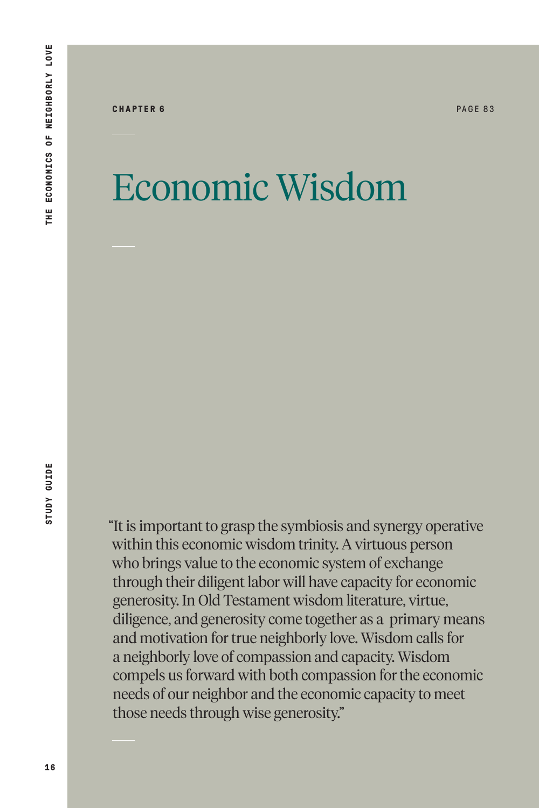### Economic Wisdom

"It is important to grasp the symbiosis and synergy operative within this economic wisdom trinity. A virtuous person who brings value to the economic system of exchange through their diligent labor will have capacity for economic generosity. In Old Testament wisdom literature, virtue, diligence, and generosity come together as a primary means and motivation for true neighborly love. Wisdom calls for a neighborly love of compassion and capacity. Wisdom compels us forward with both compassion for the economic needs of our neighbor and the economic capacity to meet those needs through wise generosity."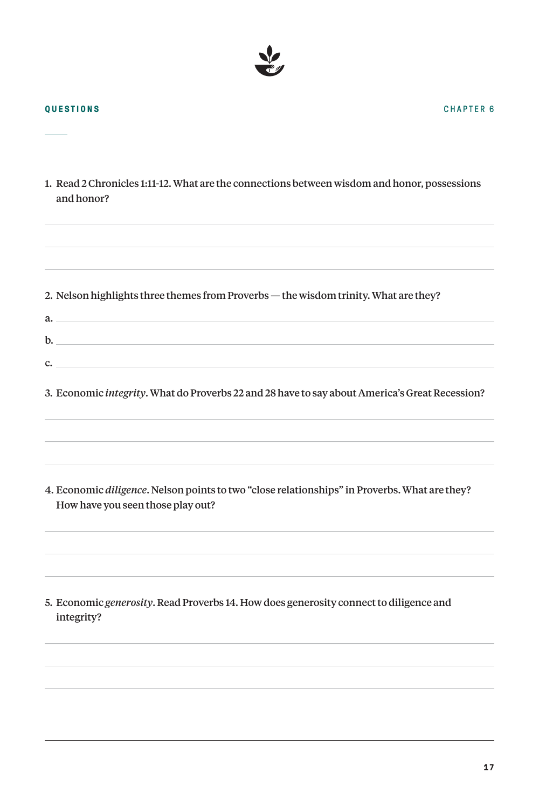| 1. Read 2 Chronicles 1:11-12. What are the connections between wisdom and honor, possessions<br>and honor?                         |
|------------------------------------------------------------------------------------------------------------------------------------|
| 2. Nelson highlights three themes from Proverbs - the wisdom trinity. What are they?<br>a.<br>$\mathbf{b}$ .                       |
| $\mathbf{C}$ .<br>3. Economic integrity. What do Proverbs 22 and 28 have to say about America's Great Recession?                   |
| 4. Economic diligence. Nelson points to two "close relationships" in Proverbs. What are they?<br>How have you seen those play out? |
| 5. Economic generosity. Read Proverbs 14. How does generosity connect to diligence and<br>integrity?                               |
|                                                                                                                                    |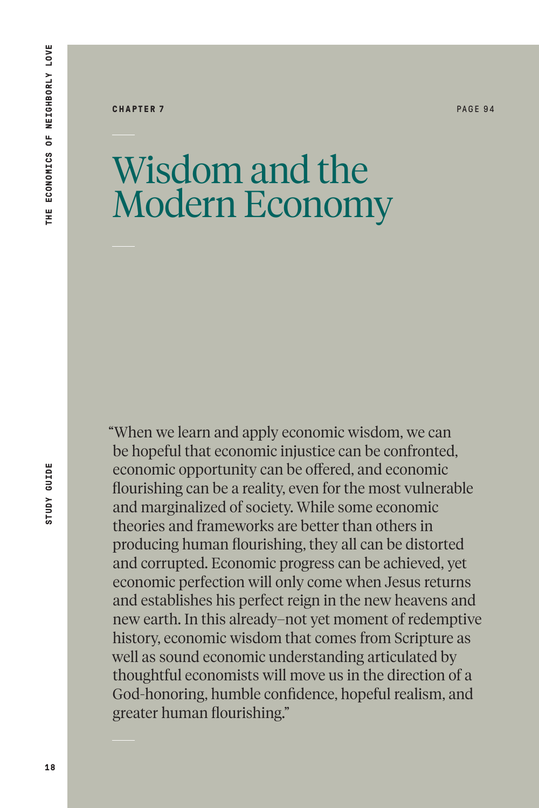#### **CHAPTER 7** PAGE 94

#### Wisdom and the Modern Economy

"When we learn and apply economic wisdom, we can be hopeful that economic injustice can be confronted, economic opportunity can be offered, and economic flourishing can be a reality, even for the most vulnerable and marginalized of society. While some economic theories and frameworks are better than others in producing human flourishing, they all can be distorted and corrupted. Economic progress can be achieved, yet economic perfection will only come when Jesus returns and establishes his perfect reign in the new heavens and new earth. In this already–not yet moment of redemptive history, economic wisdom that comes from Scripture as well as sound economic understanding articulated by thoughtful economists will move us in the direction of a God-honoring, humble confidence, hopeful realism, and greater human flourishing."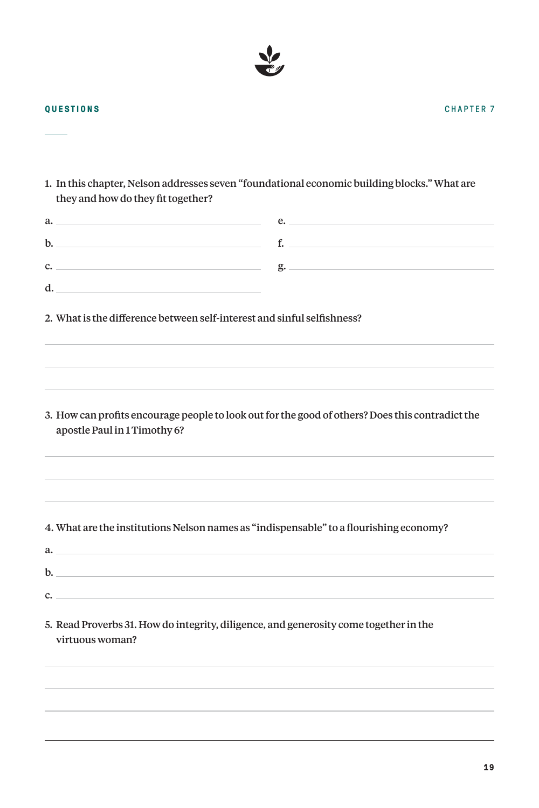**QUESTIONS**

 $\overline{\phantom{a}}$ 

1. In this chapter, Nelson addresses seven "foundational economic building blocks." What are they and how do they fit together?

| a.                                                                                                       | $e.$ $\qquad \qquad$                                                                             |  |  |
|----------------------------------------------------------------------------------------------------------|--------------------------------------------------------------------------------------------------|--|--|
| $\mathbf{b}$ .                                                                                           | $f.$ $\qquad \qquad$                                                                             |  |  |
| $c.$ $\overline{\phantom{a}}$                                                                            |                                                                                                  |  |  |
| d.                                                                                                       |                                                                                                  |  |  |
|                                                                                                          | 2. What is the difference between self-interest and sinful selfishness?                          |  |  |
| apostle Paul in 1 Timothy 6?                                                                             | 3. How can profits encourage people to look out for the good of others? Does this contradict the |  |  |
| 4. What are the institutions Nelson names as "indispensable" to a flourishing economy?<br>$a_{\rm}$      |                                                                                                  |  |  |
| $\mathbf{b}$ .                                                                                           |                                                                                                  |  |  |
| $\mathbf{c}$ .                                                                                           |                                                                                                  |  |  |
| 5. Read Proverbs 31. How do integrity, diligence, and generosity come together in the<br>virtuous woman? |                                                                                                  |  |  |
|                                                                                                          |                                                                                                  |  |  |
|                                                                                                          |                                                                                                  |  |  |

CHAPTER 7

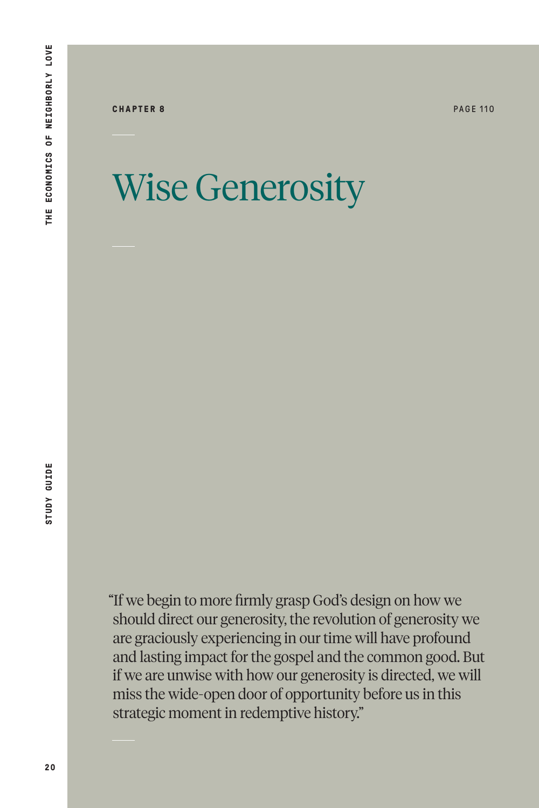**CHAPTER 8** PAGE 110

### Wise Generosity

"If we begin to more firmly grasp God's design on how we should direct our generosity, the revolution of generosity we are graciously experiencing in our time will have profound and lasting impact for the gospel and the common good. But if we are unwise with how our generosity is directed, we will miss the wide-open door of opportunity before us in this strategic moment in redemptive history."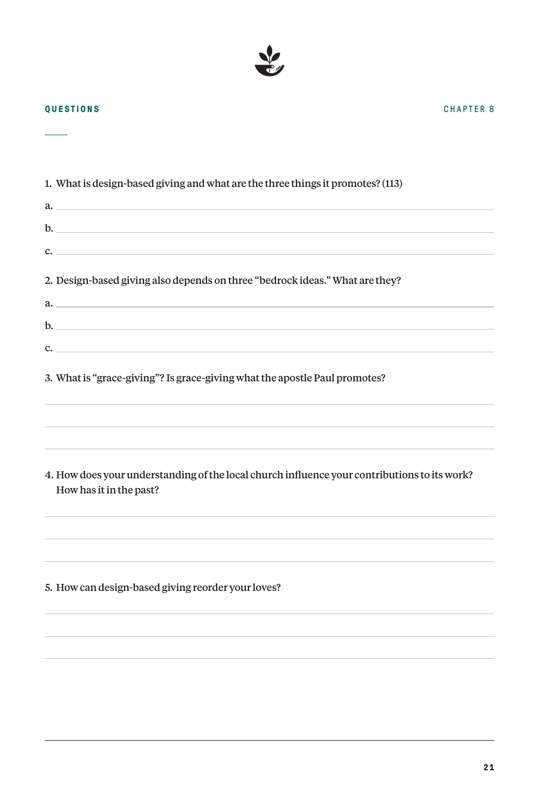

**QUESTIONS**

| 1. What is design-based giving and what are the three things it promotes? (113)                                         |
|-------------------------------------------------------------------------------------------------------------------------|
| a.                                                                                                                      |
| $\mathbf{b}$ .                                                                                                          |
| $\mathbf{C}$                                                                                                            |
| 2. Design-based giving also depends on three "bedrock ideas." What are they?                                            |
| a.                                                                                                                      |
| $\mathbf{b}$ .                                                                                                          |
| $\mathbf{c}$ .                                                                                                          |
| 3. What is "grace-giving"? Is grace-giving what the apostle Paul promotes?                                              |
| 4. How does your understanding of the local church influence your contributions to its work?<br>How has it in the past? |
| 5. How can design-based giving reorder your loves?                                                                      |

CHAPTER 8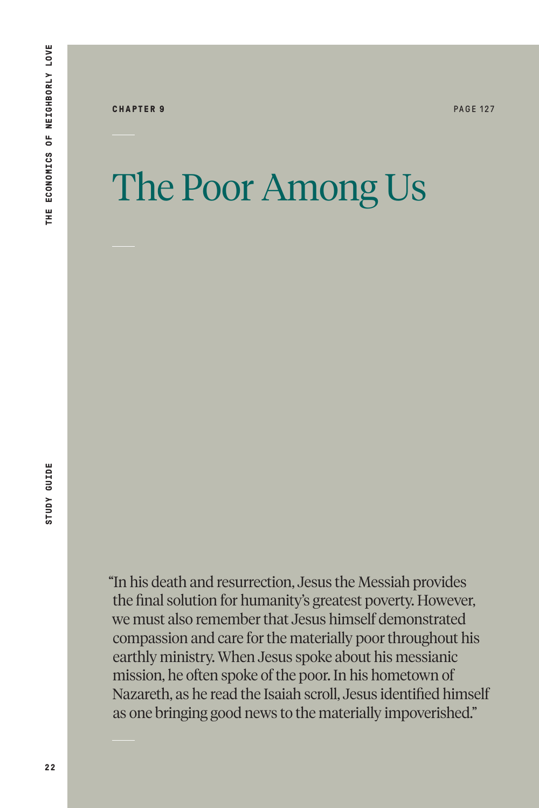**CHAPTER 9** PAGE 127

## The Poor Among Us

"In his death and resurrection, Jesus the Messiah provides the final solution for humanity's greatest poverty. However, we must also remember that Jesus himself demonstrated compassion and care for the materially poor throughout his earthly ministry. When Jesus spoke about his messianic mission, he often spoke of the poor. In his hometown of Nazareth, as he read the Isaiah scroll, Jesus identified himself as one bringing good news to the materially impoverished."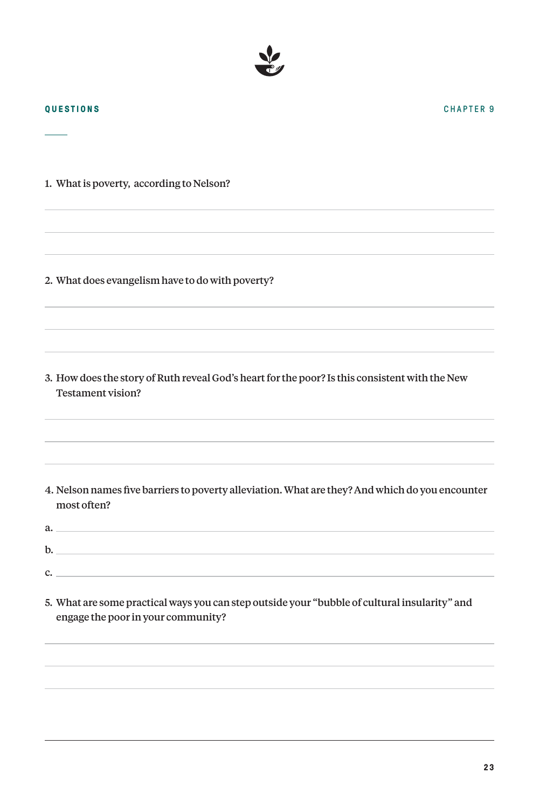1. What is poverty, according to Nelson?

2. What does evangelism have to do with poverty?

3. How does the story of Ruth reveal God's heart for the poor? Is this consistent with the New Testament vision?

- 4. Nelson names five barriers to poverty alleviation. What are they? And which do you encounter most often?
- a.  $b.$ c.
- 5. What are some practical ways you can step outside your "bubble of cultural insularity" and engage the poor in your community?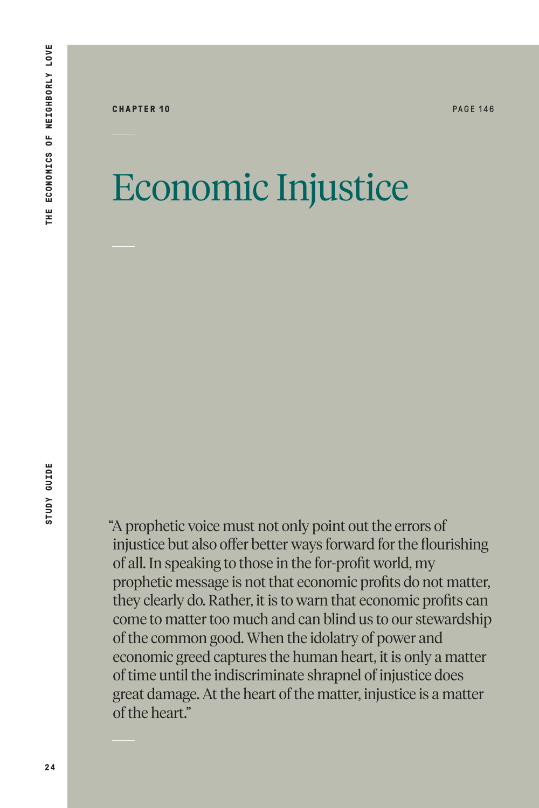#### Economic Injustice

"A prophetic voice must not only point out the errors of injustice but also offer better ways forward for the flourishing of all. In speaking to those in the for-profit world, my prophetic message is not that economic profits do not matter, they clearly do. Rather, it is to warn that economic profits can come to matter too much and can blind us to our stewardship of the common good. When the idolatry of power and economic greed captures the human heart, it is only a matter of time until the indiscriminate shrapnel of injustice does great damage. At the heart of the matter, injustice is a matter of the heart."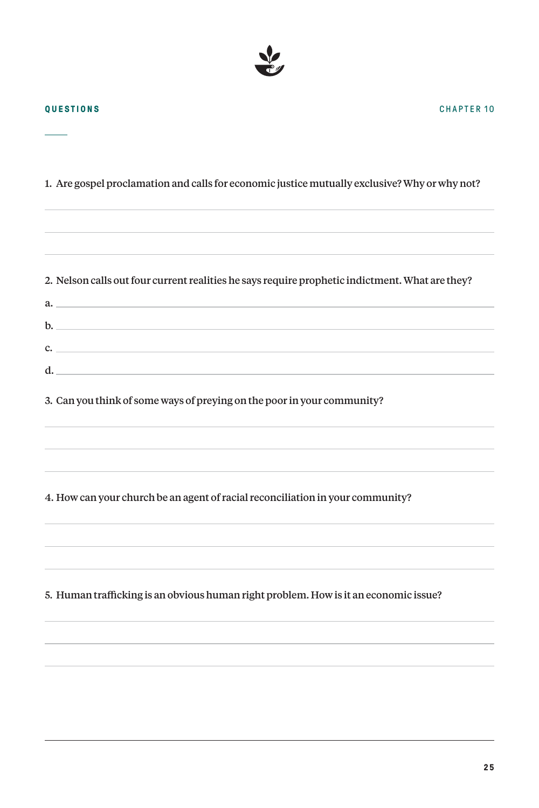

a.

1. Are gospel proclamation and calls for economic justice mutually exclusive? Why or why not?

2. Nelson calls out four current realities he says require prophetic indictment. What are they?

c.  $\Box$ 

|  |  | 3. Can you think of some ways of preying on the poor in your community? |  |
|--|--|-------------------------------------------------------------------------|--|

b.

d.

4. How can your church be an agent of racial reconciliation in your community?

5. Human trafficking is an obvious human right problem. How is it an economic issue?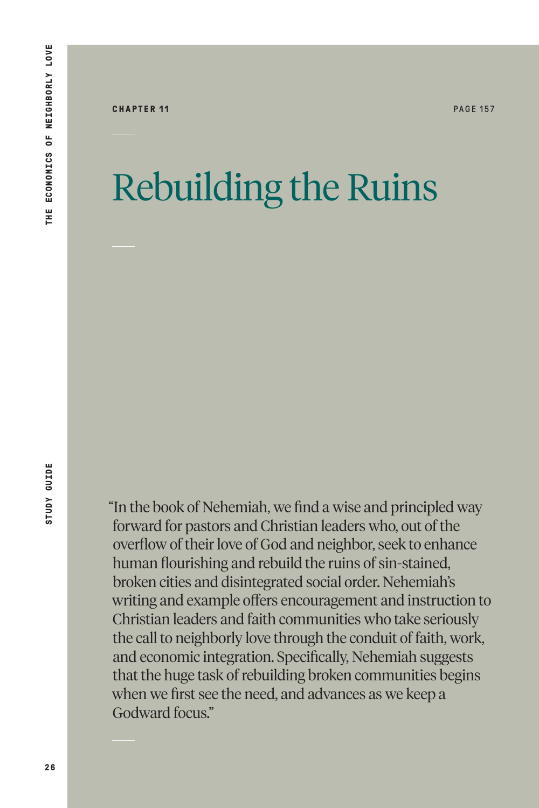## Rebuilding the Ruins

"In the book of Nehemiah, we find a wise and principled way forward for pastors and Christian leaders who, out of the overflow of their love of God and neighbor, seek to enhance human flourishing and rebuild the ruins of sin-stained, broken cities and disintegrated social order. Nehemiah's writing and example offers encouragement and instruction to Christian leaders and faith communities who take seriously the call to neighborly love through the conduit of faith, work, and economic integration. Specifically, Nehemiah suggests that the huge task of rebuilding broken communities begins when we first see the need, and advances as we keep a Godward focus."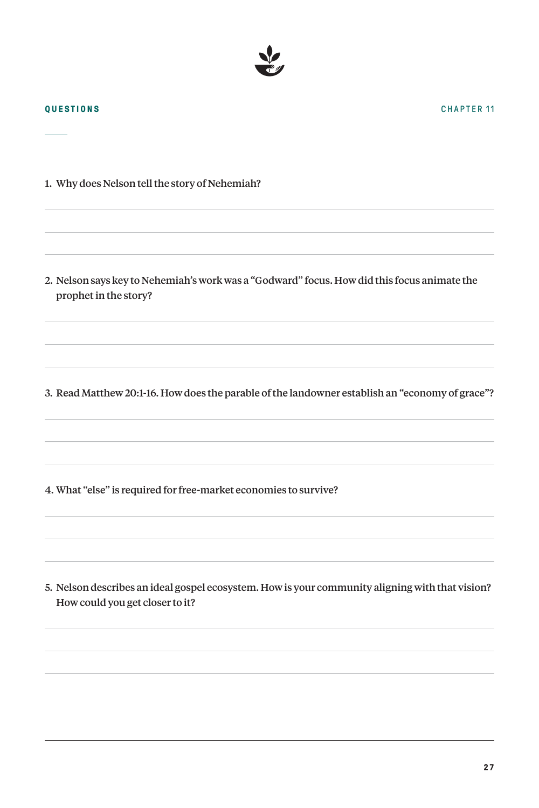1. Why does Nelson tell the story of Nehemiah?

2. Nelson says key to Nehemiah's work was a "Godward" focus. How did this focus animate the prophet in the story?

3. Read Matthew 20:1-16. How does the parable of the landowner establish an "economy of grace"?

4. What "else" is required for free-market economies to survive?

5. Nelson describes an ideal gospel ecosystem. How is your community aligning with that vision? How could you get closer to it?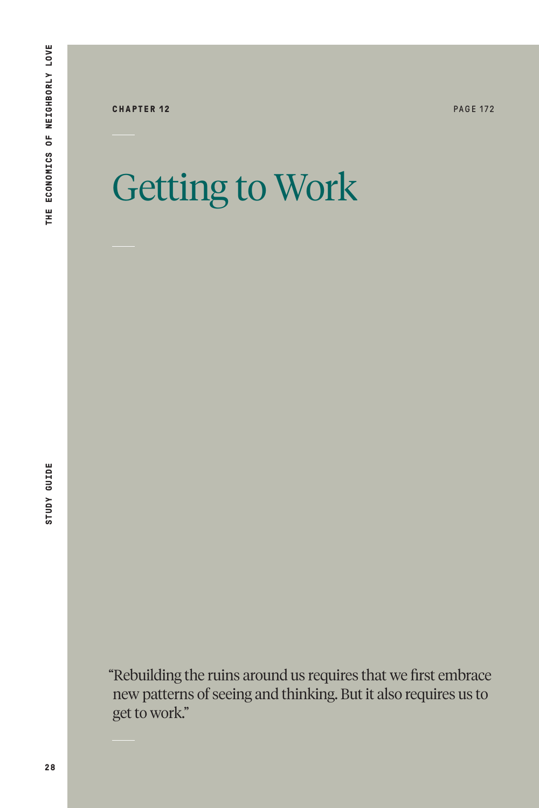**CHAPTER 12** PAGE 172

# Getting to Work

"Rebuilding the ruins around us requires that we first embrace new patterns of seeing and thinking. But it also requires us to get to work."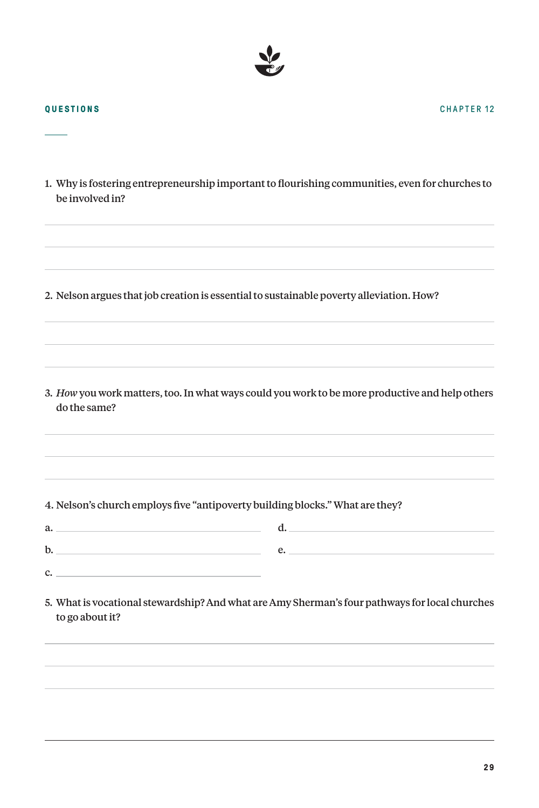$\overline{\phantom{a}}$ 

| be involved in? | 1. Why is fostering entrepreneurship important to flourishing communities, even for churches to |
|-----------------|-------------------------------------------------------------------------------------------------|
|                 |                                                                                                 |
|                 | 2. Nelson argues that job creation is essential to sustainable poverty alleviation. How?        |
|                 |                                                                                                 |
| do the same?    | 3. How you work matters, too. In what ways could you work to be more productive and help others |
| a.              | 4. Nelson's church employs five "antipoverty building blocks." What are they?<br>$\mathbf{d}$ . |
| $\mathbf{b}$ .  |                                                                                                 |
| $\mathbf{c}$ .  |                                                                                                 |
| to go about it? | 5. What is vocational stewardship? And what are Amy Sherman's four pathways for local churches  |
|                 |                                                                                                 |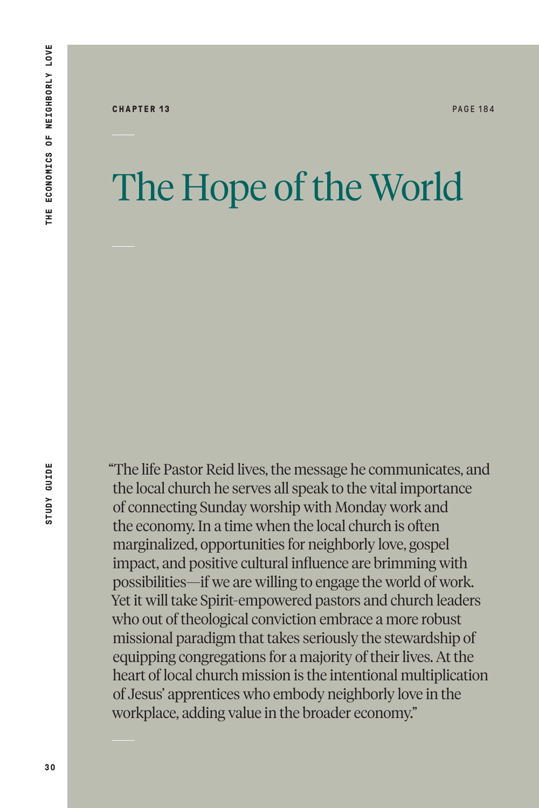### The Hope of the World

**STUDY GUIDE** 

"The life Pastor Reid lives, the message he communicates, and the local church he serves all speak to the vital importance of connecting Sunday worship with Monday work and the economy. In a time when the local church is often marginalized, opportunities for neighborly love, gospel impact, and positive cultural influence are brimming with possibilities—if we are willing to engage the world of work. Yet it will take Spirit-empowered pastors and church leaders who out of theological conviction embrace a more robust missional paradigm that takes seriously the stewardship of equipping congregations for a majority of their lives. At the heart of local church mission is the intentional multiplication of Jesus' apprentices who embody neighborly love in the workplace, adding value in the broader economy."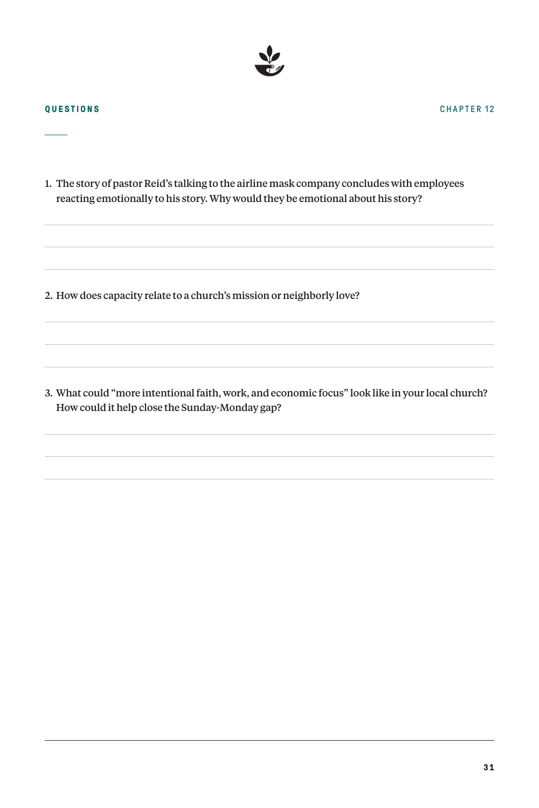

1. The story of pastor Reid's talking to the airline mask company concludes with employees reacting emotionally to his story. Why would they be emotional about his story?

2. How does capacity relate to a church's mission or neighborly love?

3. What could "more intentional faith, work, and economic focus" look like in your local church? How could it help close the Sunday-Monday gap?